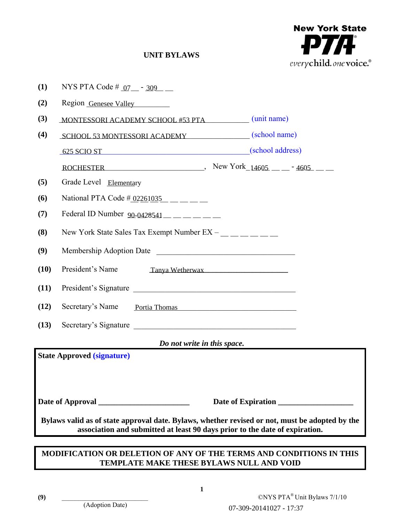

# **UNIT BYLAWS**

| (1)                                                                                                                                                                           | NYS PTA Code # $07 - 309$ -                                                                                                                                                                                                                              |                         |                              |  |
|-------------------------------------------------------------------------------------------------------------------------------------------------------------------------------|----------------------------------------------------------------------------------------------------------------------------------------------------------------------------------------------------------------------------------------------------------|-------------------------|------------------------------|--|
| (2)                                                                                                                                                                           | Region Genesee Valley                                                                                                                                                                                                                                    |                         |                              |  |
| (3)                                                                                                                                                                           | MONTESSORI ACADEMY SCHOOL #53 PTA (unit name)                                                                                                                                                                                                            |                         |                              |  |
| (4)                                                                                                                                                                           | SCHOOL 53 MONTESSORI ACADEMY (school name)                                                                                                                                                                                                               |                         |                              |  |
|                                                                                                                                                                               | 625 SCIO ST (school address)                                                                                                                                                                                                                             |                         |                              |  |
|                                                                                                                                                                               | ROCHESTER New York $14605$ - $-3605$                                                                                                                                                                                                                     |                         |                              |  |
| (5)                                                                                                                                                                           | Grade Level Elementary                                                                                                                                                                                                                                   |                         |                              |  |
| (6)                                                                                                                                                                           | National PTA Code $\frac{\text{\# }02261035}{}$ ______                                                                                                                                                                                                   |                         |                              |  |
| (7)                                                                                                                                                                           | Federal ID Number $90-0428541$ __ _ _ _ _                                                                                                                                                                                                                |                         |                              |  |
| (8)                                                                                                                                                                           | New York State Sales Tax Exempt Number $EX -$ ________                                                                                                                                                                                                   |                         |                              |  |
| (9)                                                                                                                                                                           | Membership Adoption Date                                                                                                                                                                                                                                 |                         |                              |  |
| (10)                                                                                                                                                                          | President's Name                                                                                                                                                                                                                                         | Tanya Wetherwax         |                              |  |
| (11)                                                                                                                                                                          | President's Signature                                                                                                                                                                                                                                    |                         |                              |  |
| (12)                                                                                                                                                                          | Secretary's Name<br>Portia Thomas <b>Executive Service Service Service Service Service Service Service Service Service Service Service Service Service Service Service Service Service Service Service Service Service Service Service Service Servi</b> |                         |                              |  |
| (13)                                                                                                                                                                          | Secretary's Signature                                                                                                                                                                                                                                    |                         |                              |  |
| Do not write in this space.                                                                                                                                                   |                                                                                                                                                                                                                                                          |                         |                              |  |
| <b>State Approved (signature)</b>                                                                                                                                             |                                                                                                                                                                                                                                                          |                         |                              |  |
|                                                                                                                                                                               |                                                                                                                                                                                                                                                          |                         |                              |  |
| Date of Approval<br>Date of Expiration                                                                                                                                        |                                                                                                                                                                                                                                                          |                         |                              |  |
| Bylaws valid as of state approval date. Bylaws, whether revised or not, must be adopted by the<br>association and submitted at least 90 days prior to the date of expiration. |                                                                                                                                                                                                                                                          |                         |                              |  |
|                                                                                                                                                                               |                                                                                                                                                                                                                                                          |                         |                              |  |
| MODIFICATION OR DELETION OF ANY OF THE TERMS AND CONDITIONS IN THIS<br>TEMPLATE MAKE THESE BYLAWS NULL AND VOID                                                               |                                                                                                                                                                                                                                                          |                         |                              |  |
|                                                                                                                                                                               |                                                                                                                                                                                                                                                          |                         |                              |  |
| (9)                                                                                                                                                                           | 1<br>(Adoption Date)                                                                                                                                                                                                                                     | 07-309-20141027 - 17:37 | ©NYS PTA® Unit Bylaws 7/1/10 |  |

# **MODIFICATION OR DELETION OF ANY OF THE TERMS AND CONDITIONS IN THIS TEMPLATE MAKE THESE BYLAWS NULL AND VOID**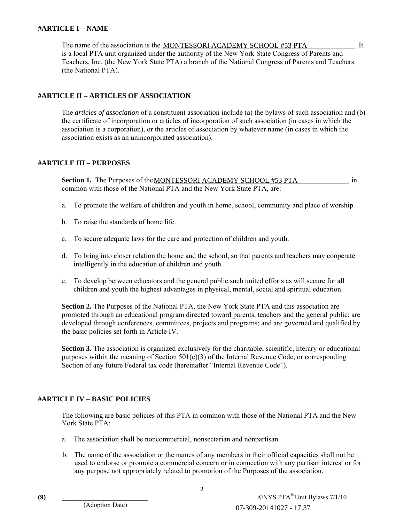#### **#ARTICLE I – NAME**

The name of the association is the MONTESSORI ACADEMY SCHOOL #53 PTA [15]. It is a local PTA unit organized under the authority of the New York State Congress of Parents and Teachers, Inc. (the New York State PTA) a branch of the National Congress of Parents and Teachers (the National PTA).

### **#ARTICLE II – ARTICLES OF ASSOCIATION**

The *articles of association* of a constituent association include (a) the bylaws of such association and (b) the certificate of incorporation or articles of incorporation of such association (in cases in which the association is a corporation), or the articles of association by whatever name (in cases in which the association exists as an unincorporated association).

#### **#ARTICLE III – PURPOSES**

**Section 1.** The Purposes of the **MONTESSORI ACADEMY SCHOOL #53 PTA**  $\cdots$ , in common with those of the National PTA and the New York State PTA, are:

- a. To promote the welfare of children and youth in home, school, community and place of worship.
- b. To raise the standards of home life.
- c. To secure adequate laws for the care and protection of children and youth.
- d. To bring into closer relation the home and the school, so that parents and teachers may cooperate intelligently in the education of children and youth.
- e. To develop between educators and the general public such united efforts as will secure for all children and youth the highest advantages in physical, mental, social and spiritual education.

**Section 2.** The Purposes of the National PTA, the New York State PTA and this association are promoted through an educational program directed toward parents, teachers and the general public; are developed through conferences, committees, projects and programs; and are governed and qualified by the basic policies set forth in Article IV.

**Section 3.** The association is organized exclusively for the charitable, scientific, literary or educational purposes within the meaning of Section  $501(c)(3)$  of the Internal Revenue Code, or corresponding Section of any future Federal tax code (hereinafter "Internal Revenue Code").

### **#ARTICLE IV – BASIC POLICIES**

The following are basic policies of this PTA in common with those of the National PTA and the New York State PTA:

- a. The association shall be noncommercial, nonsectarian and nonpartisan.
- b. The name of the association or the names of any members in their official capacities shall not be used to endorse or promote a commercial concern or in connection with any partisan interest or for any purpose not appropriately related to promotion of the Purposes of the association.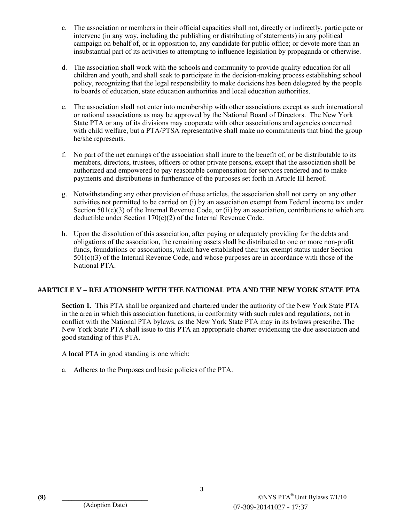- c. The association or members in their official capacities shall not, directly or indirectly, participate or intervene (in any way, including the publishing or distributing of statements) in any political campaign on behalf of, or in opposition to, any candidate for public office; or devote more than an insubstantial part of its activities to attempting to influence legislation by propaganda or otherwise.
- d. The association shall work with the schools and community to provide quality education for all children and youth, and shall seek to participate in the decision-making process establishing school policy, recognizing that the legal responsibility to make decisions has been delegated by the people to boards of education, state education authorities and local education authorities.
- e. The association shall not enter into membership with other associations except as such international or national associations as may be approved by the National Board of Directors. The New York State PTA or any of its divisions may cooperate with other associations and agencies concerned with child welfare, but a PTA/PTSA representative shall make no commitments that bind the group he/she represents.
- f. No part of the net earnings of the association shall inure to the benefit of, or be distributable to its members, directors, trustees, officers or other private persons, except that the association shall be authorized and empowered to pay reasonable compensation for services rendered and to make payments and distributions in furtherance of the purposes set forth in Article III hereof.
- g. Notwithstanding any other provision of these articles, the association shall not carry on any other activities not permitted to be carried on (i) by an association exempt from Federal income tax under Section  $501(c)(3)$  of the Internal Revenue Code, or (ii) by an association, contributions to which are deductible under Section 170(c)(2) of the Internal Revenue Code.
- h. Upon the dissolution of this association, after paying or adequately providing for the debts and obligations of the association, the remaining assets shall be distributed to one or more non-profit funds, foundations or associations, which have established their tax exempt status under Section 501(c)(3) of the Internal Revenue Code, and whose purposes are in accordance with those of the National PTA.

#### **#ARTICLE V – RELATIONSHIP WITH THE NATIONAL PTA AND THE NEW YORK STATE PTA**

 **Section 1.** This PTA shall be organized and chartered under the authority of the New York State PTA in the area in which this association functions, in conformity with such rules and regulations, not in conflict with the National PTA bylaws, as the New York State PTA may in its bylaws prescribe. The New York State PTA shall issue to this PTA an appropriate charter evidencing the due association and good standing of this PTA.

A **local** PTA in good standing is one which:

a. Adheres to the Purposes and basic policies of the PTA.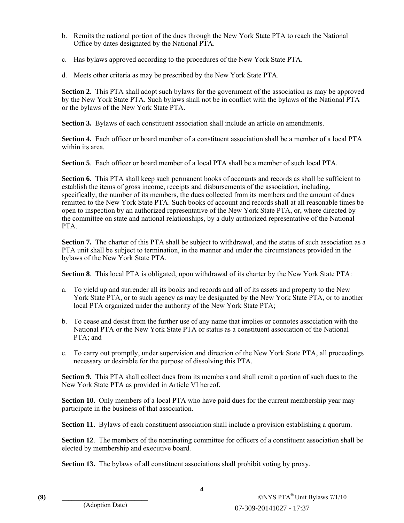- b. Remits the national portion of the dues through the New York State PTA to reach the National Office by dates designated by the National PTA.
- c. Has bylaws approved according to the procedures of the New York State PTA.
- d. Meets other criteria as may be prescribed by the New York State PTA.

 **Section 2.** This PTA shall adopt such bylaws for the government of the association as may be approved by the New York State PTA. Such bylaws shall not be in conflict with the bylaws of the National PTA or the bylaws of the New York State PTA.

**Section 3.** Bylaws of each constituent association shall include an article on amendments.

 **Section 4.** Each officer or board member of a constituent association shall be a member of a local PTA within its area.

 **Section 5**. Each officer or board member of a local PTA shall be a member of such local PTA.

**Section 6.** This PTA shall keep such permanent books of accounts and records as shall be sufficient to establish the items of gross income, receipts and disbursements of the association, including, specifically, the number of its members, the dues collected from its members and the amount of dues remitted to the New York State PTA. Such books of account and records shall at all reasonable times be open to inspection by an authorized representative of the New York State PTA, or, where directed by the committee on state and national relationships, by a duly authorized representative of the National PTA.

**Section 7.** The charter of this PTA shall be subject to withdrawal, and the status of such association as a PTA unit shall be subject to termination, in the manner and under the circumstances provided in the bylaws of the New York State PTA.

 **Section 8**. This local PTA is obligated, upon withdrawal of its charter by the New York State PTA:

- a. To yield up and surrender all its books and records and all of its assets and property to the New York State PTA, or to such agency as may be designated by the New York State PTA, or to another local PTA organized under the authority of the New York State PTA;
- b. To cease and desist from the further use of any name that implies or connotes association with the National PTA or the New York State PTA or status as a constituent association of the National PTA; and
- c. To carry out promptly, under supervision and direction of the New York State PTA, all proceedings necessary or desirable for the purpose of dissolving this PTA.

**Section 9.** This PTA shall collect dues from its members and shall remit a portion of such dues to the New York State PTA as provided in Article VI hereof.

**Section 10.** Only members of a local PTA who have paid dues for the current membership year may participate in the business of that association.

**Section 11.** Bylaws of each constituent association shall include a provision establishing a quorum.

**Section 12.** The members of the nominating committee for officers of a constituent association shall be elected by membership and executive board.

**Section 13.** The bylaws of all constituent associations shall prohibit voting by proxy.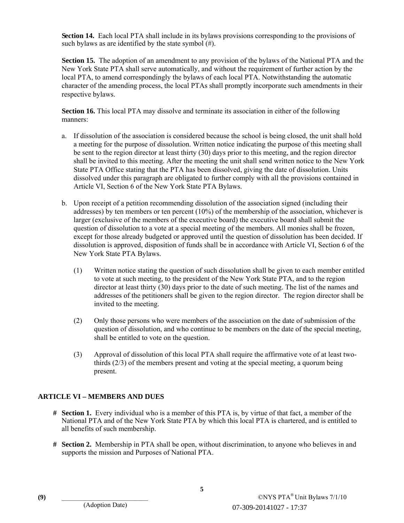**Section 14.** Each local PTA shall include in its bylaws provisions corresponding to the provisions of such bylaws as are identified by the state symbol (#).

 **Section 15.** The adoption of an amendment to any provision of the bylaws of the National PTA and the New York State PTA shall serve automatically, and without the requirement of further action by the local PTA, to amend correspondingly the bylaws of each local PTA. Notwithstanding the automatic character of the amending process, the local PTAs shall promptly incorporate such amendments in their respective bylaws.

 **Section 16.** This local PTA may dissolve and terminate its association in either of the following manners:

- a. If dissolution of the association is considered because the school is being closed, the unit shall hold a meeting for the purpose of dissolution. Written notice indicating the purpose of this meeting shall be sent to the region director at least thirty (30) days prior to this meeting, and the region director shall be invited to this meeting. After the meeting the unit shall send written notice to the New York State PTA Office stating that the PTA has been dissolved, giving the date of dissolution. Units dissolved under this paragraph are obligated to further comply with all the provisions contained in Article VI, Section 6 of the New York State PTA Bylaws.
- b. Upon receipt of a petition recommending dissolution of the association signed (including their addresses) by ten members or ten percent (10%) of the membership of the association, whichever is larger (exclusive of the members of the executive board) the executive board shall submit the question of dissolution to a vote at a special meeting of the members. All monies shall be frozen, except for those already budgeted or approved until the question of dissolution has been decided. If dissolution is approved, disposition of funds shall be in accordance with Article VI, Section 6 of the New York State PTA Bylaws.
	- (1) Written notice stating the question of such dissolution shall be given to each member entitled to vote at such meeting, to the president of the New York State PTA, and to the region director at least thirty (30) days prior to the date of such meeting. The list of the names and addresses of the petitioners shall be given to the region director. The region director shall be invited to the meeting.
	- (2) Only those persons who were members of the association on the date of submission of the question of dissolution, and who continue to be members on the date of the special meeting, shall be entitled to vote on the question.
	- (3) Approval of dissolution of this local PTA shall require the affirmative vote of at least twothirds (2/3) of the members present and voting at the special meeting, a quorum being present.

#### **ARTICLE VI – MEMBERS AND DUES**

- **# Section 1.** Every individual who is a member of this PTA is, by virtue of that fact, a member of the National PTA and of the New York State PTA by which this local PTA is chartered, and is entitled to all benefits of such membership.
- **# Section 2.** Membership in PTA shall be open, without discrimination, to anyone who believes in and supports the mission and Purposes of National PTA.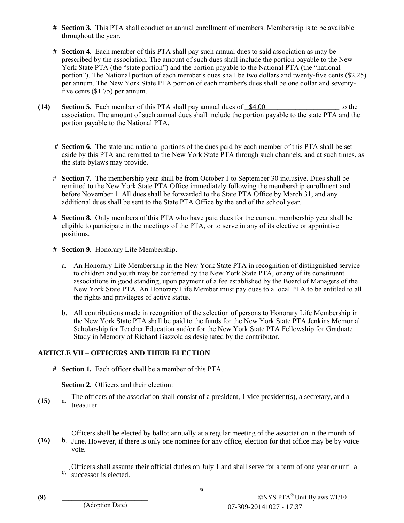- **# Section 3.** This PTA shall conduct an annual enrollment of members. Membership is to be available throughout the year.
- **# Section 4.** Each member of this PTA shall pay such annual dues to said association as may be prescribed by the association. The amount of such dues shall include the portion payable to the New York State PTA (the "state portion") and the portion payable to the National PTA (the "national portion"). The National portion of each member's dues shall be two dollars and twenty-five cents (\$2.25) per annum. The New York State PTA portion of each member's dues shall be one dollar and seventyfive cents (\$1.75) per annum.
- **(14)** Section 5. Each member of this PTA shall pay annual dues of  $\frac{\$4.00}{\$4.00}$  to the association. The amount of such annual dues shall include the portion payable to the state PTA and the portion payable to the National PTA.
	- **# Section 6.** The state and national portions of the dues paid by each member of this PTA shall be set aside by this PTA and remitted to the New York State PTA through such channels, and at such times, as the state bylaws may provide.
	- # **Section 7.** The membership year shall be from October 1 to September 30 inclusive. Dues shall be remitted to the New York State PTA Office immediately following the membership enrollment and before November 1. All dues shall be forwarded to the State PTA Office by March 31, and any additional dues shall be sent to the State PTA Office by the end of the school year.
	- **# Section 8.** Only members of this PTA who have paid dues for the current membership year shall be eligible to participate in the meetings of the PTA, or to serve in any of its elective or appointive positions.
	- **# Section 9.** Honorary Life Membership.
		- a. An Honorary Life Membership in the New York State PTA in recognition of distinguished service to children and youth may be conferred by the New York State PTA, or any of its constituent associations in good standing, upon payment of a fee established by the Board of Managers of the New York State PTA. An Honorary Life Member must pay dues to a local PTA to be entitled to all the rights and privileges of active status.
		- b. All contributions made in recognition of the selection of persons to Honorary Life Membership in the New York State PTA shall be paid to the funds for the New York State PTA Jenkins Memorial Scholarship for Teacher Education and/or for the New York State PTA Fellowship for Graduate Study in Memory of Richard Gazzola as designated by the contributor.

### **ARTICLE VII – OFFICERS AND THEIR ELECTION**

**# Section 1.** Each officer shall be a member of this PTA.

**Section 2.** Officers and their election:

 $(15)$ The officers of the association shall consist of a president, 1 vice president(s), a secretary, and a a. treasurer.

 $(16)$ Officers shall be elected by ballot annually at a regular meeting of the association in the month of b. June. However, if there is only one nominee for any office, election for that office may be by voice vote.

 $c.$ ' Officers shall assume their official duties on July 1 and shall serve for a term of one year or until a successor is elected.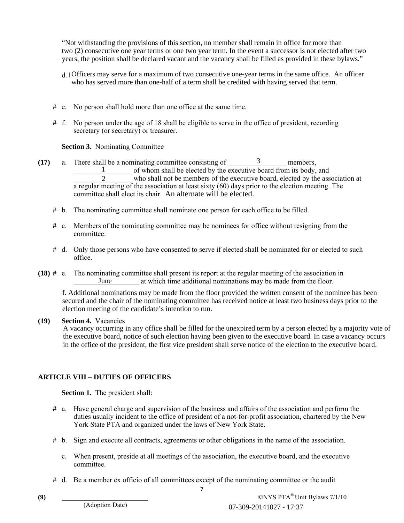"Not withstanding the provisions of this section, no member shall remain in office for more than two (2) consecutive one year terms or one two year term. In the event a successor is not elected after two years, the position shall be declared vacant and the vacancy shall be filled as provided in these bylaws."

- d. Officers may serve for a maximum of two consecutive one-year terms in the same office. An officer who has served more than one-half of a term shall be credited with having served that term.
- # e. No person shall hold more than one office at the same time.
- **#** f. No person under the age of 18 shall be eligible to serve in the office of president, recording secretary (or secretary) or treasurer.

**Section 3.** Nominating Committee

- (17) a. There shall be a nominating committee consisting of  $\frac{3}{2}$  members,  $\frac{1}{2}$  of whom shall be elected by the executive board from its body, and who shall not be members of the executive board, elected by the ass who shall not be members of the executive board, elected by the association at a regular meeting of the association at least sixty (60) days prior to the election meeting. The committee shall elect its chair. An alternate will be elected.1<br>  $\frac{1}{2}$  of whom shall be clected by the exceutive board from its<br>  $\frac{2}{2}$  or who shall not be members of the executive board, elected<br>
meeting of the association at least sixty (60) days prior to the election<br>
shal
	- # b. The nominating committee shall nominate one person for each office to be filled.
	- **#** c. Members of the nominating committee may be nominees for office without resigning from the committee.
	- # d. Only those persons who have consented to serve if elected shall be nominated for or elected to such office.
- **(18) #** e. The nominating committee shall present its report at the regular meeting of the association in at which time additional nominations may be made from the floor. June

secured and the chair of the nominating committee has received notice at least two business days prior to the  $\frac{2}{a}$  regular meeting of the association at least sixt<br>committee shall elect its chair. An alternate w<br>b. The nominating committee shall nominate one  $\mu$ <br>c. Members of the nominating committee may be<br>committee.<br>d. On

#### **(19) Section 4.** Vacancies

A vacancy occurring in any office shall be filled for the unexpired term by a person elected by a majority vote of the executive board, notice of such election having been given to the executive board. In case a vacancy occurs f. Additional nominations may be made from the floor provided the written consent of the nominee has been secured and the chair of the nominating committee has received notice at least two business days prior to the electi

### **ARTICLE VIII – DUTIES OF OFFICERS**

**Section 1.** The president shall:

- **#** a. Have general charge and supervision of the business and affairs of the association and perform the duties usually incident to the office of president of a not-for-profit association, chartered by the New York State PTA and organized under the laws of New York State.
- # b. Sign and execute all contracts, agreements or other obligations in the name of the association.
	- c. When present, preside at all meetings of the association, the executive board, and the executive committee.
- # d. Be a member ex officio of all committees except of the nominating committee or the audit

**7**

**(9)** \_\_\_\_\_\_\_\_\_\_\_\_\_\_\_\_\_\_\_\_\_\_\_\_\_\_ ©NYS PTA® Unit Bylaws 7/1/10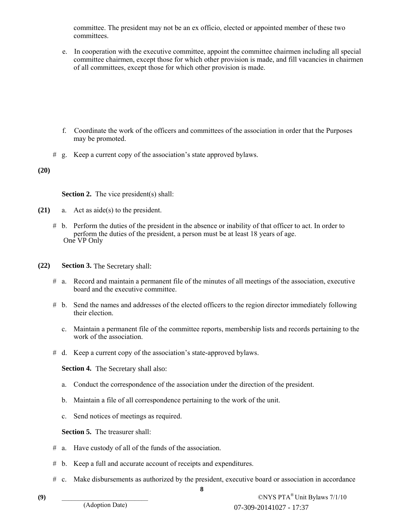committee. The president may not be an ex officio, elected or appointed member of these two committees.

e. In cooperation with the executive committee, appoint the committee chairmen including all special committee chairmen, except those for which other provision is made, and fill vacancies in chairmen of all committees, except those for which other provision is made.

- f. Coordinate the work of the officers and committees of the association in order that the Purposes may be promoted.
- # g. Keep a current copy of the association's state approved bylaws.

**(20)** 

**Section 2.** The vice president(s) shall:

- **(21)** a. Act as aide(s) to the president.
	- # b. Perform the duties of the president in the absence or inability of that officer to act. In order to perform the duties of the president, a person must be at least 18 years of age. One VP Only
- **(22) Section 3.** The Secretary shall:
	- # a. Record and maintain a permanent file of the minutes of all meetings of the association, executive board and the executive committee.
	- # b. Send the names and addresses of the elected officers to the region director immediately following their election.
		- c. Maintain a permanent file of the committee reports, membership lists and records pertaining to the work of the association.
	- # d. Keep a current copy of the association's state-approved bylaws.

**Section 4.** The Secretary shall also:

- a. Conduct the correspondence of the association under the direction of the president.
- b. Maintain a file of all correspondence pertaining to the work of the unit.
- c. Send notices of meetings as required.

**Section 5.** The treasurer shall:

- # a. Have custody of all of the funds of the association.
- # b. Keep a full and accurate account of receipts and expenditures.
- **8** # c. Make disbursements as authorized by the president, executive board or association in accordance

(9)  $\text{CNYS } \text{PTA}^{\circledast}$  Unit Bylaws 7/1/10 07-309-20141027 - 17:37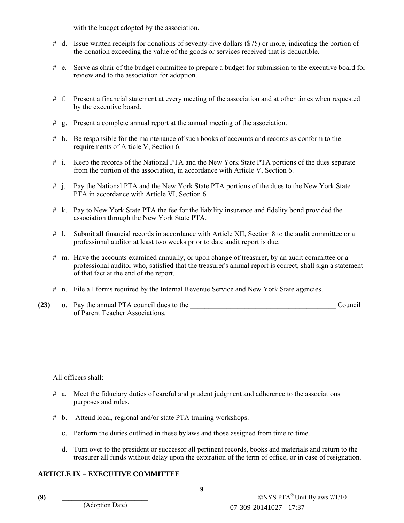with the budget adopted by the association.

- # d. Issue written receipts for donations of seventy-five dollars (\$75) or more, indicating the portion of the donation exceeding the value of the goods or services received that is deductible.
- # e. Serve as chair of the budget committee to prepare a budget for submission to the executive board for review and to the association for adoption.
- # f. Present a financial statement at every meeting of the association and at other times when requested by the executive board.
- # g. Present a complete annual report at the annual meeting of the association.
- # h. Be responsible for the maintenance of such books of accounts and records as conform to the requirements of Article V, Section 6.
- # i. Keep the records of the National PTA and the New York State PTA portions of the dues separate from the portion of the association, in accordance with Article V, Section 6.
- # j. Pay the National PTA and the New York State PTA portions of the dues to the New York State PTA in accordance with Article VI, Section 6.
- # k. Pay to New York State PTA the fee for the liability insurance and fidelity bond provided the association through the New York State PTA.
- # l. Submit all financial records in accordance with Article XII, Section 8 to the audit committee or a professional auditor at least two weeks prior to date audit report is due.
- # m. Have the accounts examined annually, or upon change of treasurer, by an audit committee or a professional auditor who, satisfied that the treasurer's annual report is correct, shall sign a statement of that fact at the end of the report.
- # n. File all forms required by the Internal Revenue Service and New York State agencies.
- **(23)** o. Pay the annual PTA council dues to the \_\_\_\_\_\_\_\_\_\_\_\_\_\_\_\_\_\_\_\_\_\_\_\_\_\_\_\_\_\_\_\_\_\_\_\_\_\_\_\_ Council of Parent Teacher Associations.

All officers shall:

- # a. Meet the fiduciary duties of careful and prudent judgment and adherence to the associations purposes and rules.
- # b. Attend local, regional and/or state PTA training workshops.
	- c. Perform the duties outlined in these bylaws and those assigned from time to time.
	- d. Turn over to the president or successor all pertinent records, books and materials and return to the treasurer all funds without delay upon the expiration of the term of office, or in case of resignation.

### **ARTICLE IX – EXECUTIVE COMMITTEE**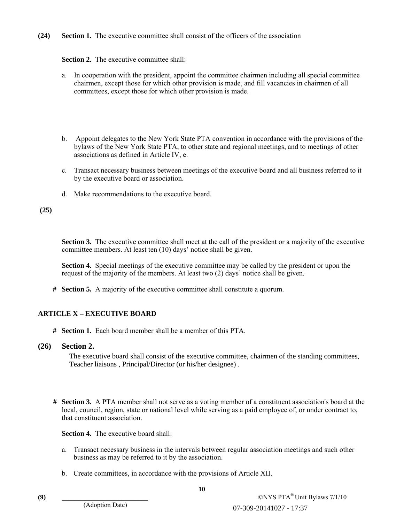**(24) Section 1.** The executive committee shall consist of the officers of the association

#### **Section 2.** The executive committee shall:

- a. In cooperation with the president, appoint the committee chairmen including all special committee chairmen, except those for which other provision is made, and fill vacancies in chairmen of all committees, except those for which other provision is made.
- b. Appoint delegates to the New York State PTA convention in accordance with the provisions of the bylaws of the New York State PTA, to other state and regional meetings, and to meetings of other associations as defined in Article IV, e.
- c. Transact necessary business between meetings of the executive board and all business referred to it by the executive board or association.
- d. Make recommendations to the executive board.

#### **(25)**

**Section 3.** The executive committee shall meet at the call of the president or a majority of the executive committee members. At least ten (10) days' notice shall be given.

 **Section 4.** Special meetings of the executive committee may be called by the president or upon the request of the majority of the members. At least two (2) days' notice shall be given.

**# Section 5.** A majority of the executive committee shall constitute a quorum.

### **ARTICLE X – EXECUTIVE BOARD**

**# Section 1.** Each board member shall be a member of this PTA.

#### **(26) Section 2.**

The executive board shall consist of the executive committee, chairmen of the standing committees, Teacher liaisons , Principal/Director (or his/her designee) .

**# Section 3.** A PTA member shall not serve as a voting member of a constituent association's board at the local, council, region, state or national level while serving as a paid employee of, or under contract to, that constituent association.

**Section 4.** The executive board shall:

- a. Transact necessary business in the intervals between regular association meetings and such other business as may be referred to it by the association.
- b. Create committees, in accordance with the provisions of Article XII.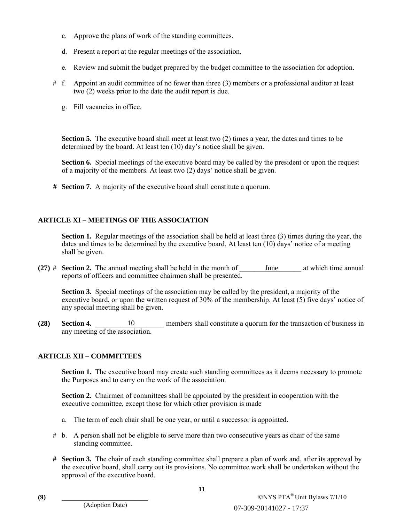- c. Approve the plans of work of the standing committees.
- d. Present a report at the regular meetings of the association.
- e. Review and submit the budget prepared by the budget committee to the association for adoption.
- # f. Appoint an audit committee of no fewer than three (3) members or a professional auditor at least two (2) weeks prior to the date the audit report is due.
	- g. Fill vacancies in office.

**Section 5.** The executive board shall meet at least two (2) times a year, the dates and times to be determined by the board. At least ten (10) day's notice shall be given.

**Section 6.** Special meetings of the executive board may be called by the president or upon the request of a majority of the members. At least two (2) days' notice shall be given.

**# Section 7**. A majority of the executive board shall constitute a quorum.

### **ARTICLE XI – MEETINGS OF THE ASSOCIATION**

**Section 1.** Regular meetings of the association shall be held at least three (3) times during the year, the dates and times to be determined by the executive board. At least ten (10) days' notice of a meeting shall be given.

**(27)**  $\#$  **Section 2.** The annual meeting shall be held in the month of reports of officers and committee chairmen shall be presented. June at which time annual

**Section 3.** Special meetings of the association may be called by the president, a majority of the executive board, or upon the written request of 30% of the membership. At least (5) five days' notice of any special meeting shall be given.

**(28)** Section 4. **a** 10 members shall constitute a quorum for the transaction of business in any meeting of the association.

# **ARTICLE XII – COMMITTEES**

**Section 1.** The executive board may create such standing committees as it deems necessary to promote the Purposes and to carry on the work of the association.

**Section 2.** Chairmen of committees shall be appointed by the president in cooperation with the executive committee, except those for which other provision is made

- a. The term of each chair shall be one year, or until a successor is appointed.
- # b. A person shall not be eligible to serve more than two consecutive years as chair of the same standing committee.
- **# Section 3.** The chair of each standing committee shall prepare a plan of work and, after its approval by the executive board, shall carry out its provisions. No committee work shall be undertaken without the approval of the executive board. 07-309-20141027 - 17:37 10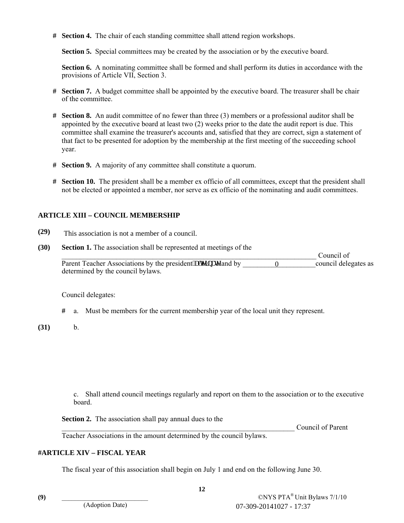**# Section 4.** The chair of each standing committee shall attend region workshops.

**Section 5.** Special committees may be created by the association or by the executive board.

**Section 6.** A nominating committee shall be formed and shall perform its duties in accordance with the provisions of Article VII, Section 3.

- **# Section 7.** A budget committee shall be appointed by the executive board. The treasurer shall be chair of the committee.
- **# Section 8.** An audit committee of no fewer than three (3) members or a professional auditor shall be appointed by the executive board at least two (2) weeks prior to the date the audit report is due. This committee shall examine the treasurer's accounts and, satisfied that they are correct, sign a statement of that fact to be presented for adoption by the membership at the first meeting of the succeeding school year.
- **# Section 9.** A majority of any committee shall constitute a quorum.
- **# Section 10.** The president shall be a member ex officio of all committees, except that the president shall not be elected or appointed a member, nor serve as ex officio of the nominating and audit committees.

#### **ARTICLE XIII – COUNCIL MEMBERSHIP**

- **(29)**
- **(30) Section 1.** The association shall be represented at meetings of the \_\_\_\_\_\_\_\_\_\_\_\_\_\_\_\_\_\_\_\_\_\_\_\_\_\_\_\_\_\_\_\_\_\_\_\_\_\_\_\_\_\_\_\_\_\_\_\_\_\_\_\_\_\_\_\_\_\_\_\_\_\_\_\_\_\_\_\_\_\_ Council of Parent Teacher Associations by the president king the grand by  $\qquad \qquad 0 \qquad \qquad$  council delegates as determined by the council bylaws. This association is not a member of a council.<br> **Evertion 1.** The associations hall be represented at meetings of the<br> **Evertion 1.** The associations by the president kngtpcvg and by <u>obtermined</u> by the council by<br> **Exert**

Council delegates:

- **#** a. Must be members for the current membership year of the local unit they represent.
- **(31)** b.

 c. Shall attend council meetings regularly and report on them to the association or to the executive board.

**Section 2.** The association shall pay annual dues to the

Council of Parent

Teacher Associations in the amount determined by the council bylaws.

### **#ARTICLE XIV – FISCAL YEAR**

The fiscal year of this association shall begin on July 1 and end on the following June 30.